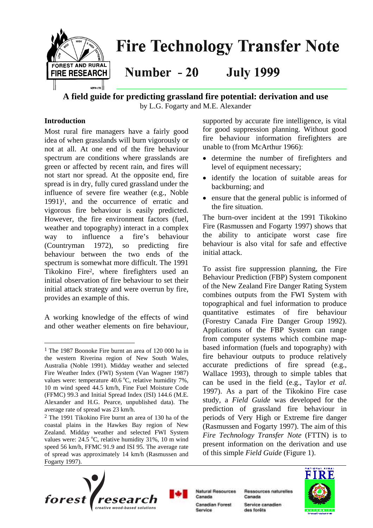

**A field guide for predicting grassland fire potential: derivation and use** by L.G. Fogarty and M.E. Alexander

### **Introduction**

 $\overline{a}$ 

Most rural fire managers have a fairly good idea of when grasslands will burn vigorously or not at all. At one end of the fire behaviour spectrum are conditions where grasslands are green or affected by recent rain, and fires will not start nor spread. At the opposite end, fire spread is in dry, fully cured grassland under the influence of severe fire weather (e.g., Noble 1991)[1,](#page-0-0) and the occurrence of erratic and vigorous fire behaviour is easily predicted. However, the fire environment factors (fuel, weather and topography) interact in a complex way to influence a fire's behaviour (Countryman 1972), so predicting fire behaviour between the two ends of the spectrum is somewhat more difficult. The 1991 Tikokino Fir[e2,](#page-0-1) where firefighters used an initial observation of fire behaviour to set their initial attack strategy and were overrun by fire, provides an example of this.

A working knowledge of the effects of wind and other weather elements on fire behaviour,

supported by accurate fire intelligence, is vital for good suppression planning. Without good fire behaviour information firefighters are unable to (from McArthur 1966):

- determine the number of firefighters and level of equipment necessary;
- identify the location of suitable areas for backburning; and
- ensure that the general public is informed of the fire situation.

The burn-over incident at the 1991 Tikokino Fire (Rasmussen and Fogarty 1997) shows that the ability to anticipate worst case fire behaviour is also vital for safe and effective initial attack.

To assist fire suppression planning, the Fire Behaviour Prediction (FBP) System component of the New Zealand Fire Danger Rating System combines outputs from the FWI System with topographical and fuel information to produce quantitative estimates of fire behaviour (Forestry Canada Fire Danger Group 1992). Applications of the FBP System can range from computer systems which combine mapbased information (fuels and topography) with fire behaviour outputs to produce relatively accurate predictions of fire spread (e.g., Wallace 1993), through to simple tables that can be used in the field (e.g., Taylor *et al.* 1997). As a part of the Tikokino Fire case study, a *Field Guide* was developed for the prediction of grassland fire behaviour in periods of Very High or Extreme fire danger (Rasmussen and Fogarty 1997). The aim of this *Fire Technology Transfer Note* (FTTN) is to present information on the derivation and use of this simple *Field Guide* (Figure 1).





**Natural Resources** Canada Canadian Forest Service

Ressources naturelles Canada

Service canadien des forêts



<span id="page-0-0"></span><sup>1</sup> The 1987 Boonoke Fire burnt an area of 120 000 ha in the western Riverina region of New South Wales, Australia (Noble 1991). Midday weather and selected Fire Weather Index (FWI) System (Van Wagner 1987) values were: temperature  $40.6^{\circ}$ C, relative humidity 7%, 10 m wind speed 44.5 km/h, Fine Fuel Moisture Code (FFMC) 99.3 and Initial Spread Index (ISI) 144.6 (M.E. Alexander and H.G. Pearce, unpublished data). The average rate of spread was 23 km/h.

<span id="page-0-1"></span><sup>2</sup> The 1991 Tikokino Fire burnt an area of 130 ha of the coastal plains in the Hawkes Bay region of New Zealand. Midday weather and selected FWI System values were:  $24.5^{\circ}$ C, relative humidity 31%, 10 m wind speed 56 km/h, FFMC 91.9 and ISI 95. The average rate of spread was approximately 14 km/h (Rasmussen and Fogarty 1997).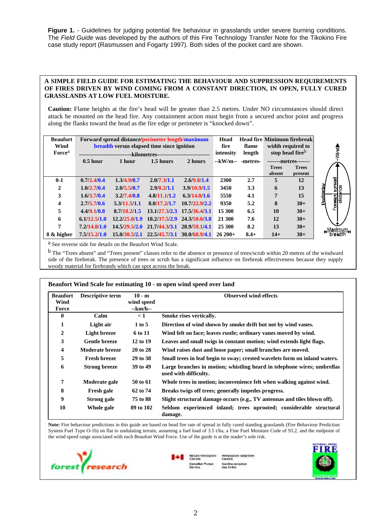**Figure 1.** - Guidelines for judging potential fire behaviour in grasslands under severe burning conditions. The *Field Guide* was developed by the authors of this Fire Technology Transfer Note for the Tikokino Fire case study report (Rasmussen and Fogarty 1997). Both sides of the pocket card are shown.

#### **A SIMPLE FIELD GUIDE FOR ESTIMATING THE BEHAVIOUR AND SUPPRESSION REQUIREMENTS OF FIRES DRIVEN BY WIND COMING FROM A CONSTANT DIRECTION, IN OPEN, FULLY CURED GRASSLANDS AT LOW FUEL MOISTURE.**

**Caution:** Flame heights at the fire's head will be greater than 2.5 metres. Under NO circumstances should direct attack be mounted on the head fire. Any containment action must begin from a secured anchor point and progress along the flanks toward the head as the fire edge or perimeter is "knocked down".

| <b>Beaufort</b><br>Wind<br>Force <sup>a</sup> | Forward spread distance/perimeter length/maximum<br>breadth versus elapsed time since ignition | Head<br>fire<br>intensity                       | flame<br>length | <b>Head fire Minimum firebreak</b><br>width required to<br>stop head fireb |            |          |                        |                         |                    |
|-----------------------------------------------|------------------------------------------------------------------------------------------------|-------------------------------------------------|-----------------|----------------------------------------------------------------------------|------------|----------|------------------------|-------------------------|--------------------|
|                                               | $0.5$ hour                                                                                     | -kilometres--<br>1.5 hours<br>2 hours<br>1 hour |                 |                                                                            | --kW/m--   | -metres- | -------metres-------   |                         |                    |
|                                               |                                                                                                |                                                 |                 |                                                                            |            |          | <b>Trees</b><br>absent | <b>Trees</b><br>present |                    |
| $0 - 1$                                       | 0.7/2.4/0.4                                                                                    | 1.3/4.9/0.7                                     | 2.0/7.3/1.1     | 2.6/9.8/1.4                                                                | 2300       | 2.7      | 5                      | 12                      |                    |
| $\mathbf{2}$                                  | 1.0/2.7/0.4                                                                                    | 2.0/5.5/0.7                                     | 2.9/8.2/1.1     | 3.9/10.9/1.5                                                               | 3450       | 3.3      | 6                      | 13                      |                    |
| 3                                             | 1.6/3.7/0.4                                                                                    | 3.2/7.4/0.8                                     | 4.8/11.1/1.2    | 6.3/14.8/1.6                                                               | 5550       | 4.1      | 7                      | 15                      | Partneter          |
| 4                                             | 2.7/5.7/0.6                                                                                    | 5.3/11.5/1.1                                    | 8.0/17.2/1.7    | 10.7/22.9/2.2                                                              | 9350       | 5.2      | 8                      | $30+$                   |                    |
| 5                                             | 4.4/9.1/0.8                                                                                    | 8.7/18.2/1.5                                    |                 | 13.1/27.3/2.3 17.5/36.4/3.1                                                | 15 300     | 6.5      | 10                     | $30+$                   |                    |
| 6                                             | 6.1/12.5/1.0                                                                                   | 12.2/25.0/1.9                                   | 18.2/37.5/2.9   | 24.3/50.0/3.8                                                              | 21 300     | 7.6      | 12                     | $30+$                   |                    |
| 7                                             | 7.2/14.8/1.0                                                                                   | 14.5/29.5/2.0                                   | 21.7/44.3/3.1   | 28.9/59.1/4.1                                                              | 25 300     | 8.2      | 13                     | $30+$                   |                    |
| 8 & higher                                    | 7.5/15.2/1.0                                                                                   | 15.0/30.5/2.1                                   |                 | 22.5/45.7/3.1 30.0/60.9/4.1                                                | $26\,200+$ | $8.4 +$  | $14+$                  | $30+$                   | <u>, Ма</u><br>bre |

 $\frac{4}{5}$ kimum<br>sadth

a See reverse side for details on the Beaufort Wind Scale.

b The "Trees absent" and "Trees present" classes refer to the absence or presence of trees/scrub within 20 metres of the windward side of the firebreak. The presence of trees or scrub has a significant influence on firebreak effectiveness because they supply woody material for firebrands which can spot across the break.

| <b>Beaufort</b><br>Wind<br>Force | <b>Descriptive term</b> | $10 - m$<br>wind speed<br>--km/h-- | <b>Observed wind effects</b>                                                                     |
|----------------------------------|-------------------------|------------------------------------|--------------------------------------------------------------------------------------------------|
| $\bf{0}$                         | Calm                    | $\leq 1$                           | Smoke rises vertically.                                                                          |
| 1                                | Light air               | 1 to 5                             | Direction of wind shown by smoke drift but not by wind vanes.                                    |
| $\mathbf{2}$                     | <b>Light breeze</b>     | <b>6 to 11</b>                     | Wind felt on face; leaves rustle; ordinary vanes moved by wind.                                  |
| 3                                | <b>Gentle breeze</b>    | 12 to 19                           | Leaves and small twigs in constant motion; wind extends light flags.                             |
| 4                                | <b>Moderate breeze</b>  | 20 to 28                           | Wind raises dust and loose paper; small branches are moved.                                      |
| 5                                | <b>Fresh breeze</b>     | 29 to 38                           | Small trees in leaf begin to sway; crested wavelets form on inland waters.                       |
| 6                                | <b>Strong breeze</b>    | 39 to 49                           | Large branches in motion; whistling heard in telephone wires; umbrellas<br>used with difficulty. |
| 7                                | Moderate gale           | 50 to 61                           | Whole trees in motion; inconvenience felt when walking against wind.                             |
| 8                                | <b>Fresh gale</b>       | 62 to 74                           | Breaks twigs off trees; generally impedes progress.                                              |
| 9                                | Strong gale             | 75 to 88                           | Slight structural damage occurs (e.g., TV antennas and tiles blown off).                         |
| 10                               | Whole gale              | 89 to 102                          | Seldom experienced inland; trees uprooted; considerable structural<br>damage.                    |

**Note:** Fire behaviour predictions in this guide are based on head fire rate of spread in fully cured standing grasslands (Fire Behaviour Prediction System Fuel Type O-1b) on flat to undulating terrain, assuming a fuel load of 3.5 t/ha, a Fine Fuel Moisture Code of 93.2, and the midpoint of the wind speed range associated with each Beaufort Wind Force. Use of the guide is at the reader's sole risk.





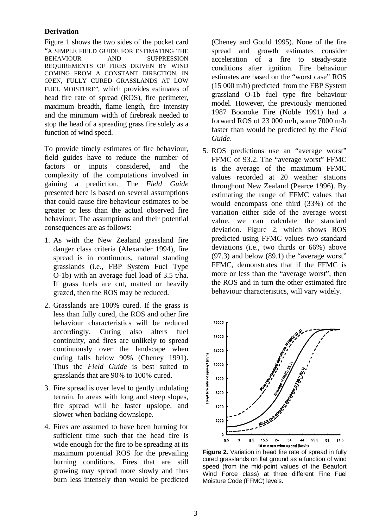#### **Derivation**

Figure 1 shows the two sides of the pocket card "A SIMPLE FIELD GUIDE FOR ESTIMATING THE BEHAVIOUR AND SUPPRESSION REQUIREMENTS OF FIRES DRIVEN BY WIND COMING FROM A CONSTANT DIRECTION, IN OPEN, FULLY CURED GRASSLANDS AT LOW FUEL MOISTURE", which provides estimates of head fire rate of spread (ROS), fire perimeter, maximum breadth, flame length, fire intensity and the minimum width of firebreak needed to stop the head of a spreading grass fire solely as a function of wind speed.

To provide timely estimates of fire behaviour, field guides have to reduce the number of factors or inputs considered, and the complexity of the computations involved in gaining a prediction. The *Field Guide* presented here is based on several assumptions that could cause fire behaviour estimates to be greater or less than the actual observed fire behaviour. The assumptions and their potential consequences are as follows:

- 1. As with the New Zealand grassland fire danger class criteria (Alexander 1994), fire spread is in continuous, natural standing grasslands (i.e., FBP System Fuel Type O-1b) with an average fuel load of 3.5 t/ha. If grass fuels are cut, matted or heavily grazed, then the ROS may be reduced.
- 2. Grasslands are 100% cured. If the grass is less than fully cured, the ROS and other fire behaviour characteristics will be reduced accordingly. Curing also alters fuel continuity, and fires are unlikely to spread continuously over the landscape when curing falls below 90% (Cheney 1991). Thus the *Field Guide* is best suited to grasslands that are 90% to 100% cured.
- 3. Fire spread is over level to gently undulating terrain. In areas with long and steep slopes, fire spread will be faster upslope, and slower when backing downslope.
- 4. Fires are assumed to have been burning for sufficient time such that the head fire is wide enough for the fire to be spreading at its maximum potential ROS for the prevailing burning conditions. Fires that are still growing may spread more slowly and thus burn less intensely than would be predicted

(Cheney and Gould 1995). None of the fire spread and growth estimates consider acceleration of a fire to steady-state conditions after ignition. Fire behaviour estimates are based on the "worst case" ROS (15 000 m/h) predicted from the FBP System grassland O-1b fuel type fire behaviour model. However, the previously mentioned 1987 Boonoke Fire (Noble 1991) had a forward ROS of 23 000 m/h, some 7000 m/h faster than would be predicted by the *Field Guide*.

5. ROS predictions use an "average worst" FFMC of 93.2. The "average worst" FFMC is the average of the maximum FFMC values recorded at 20 weather stations throughout New Zealand (Pearce 1996). By estimating the range of FFMC values that would encompass one third (33%) of the variation either side of the average worst value, we can calculate the standard deviation. Figure 2, which shows ROS predicted using FFMC values two standard deviations (i.e., two thirds or 66%) above (97.3) and below (89.1) the "average worst" FFMC, demonstrates that if the FFMC is more or less than the "average worst", then the ROS and in turn the other estimated fire behaviour characteristics, will vary widely.



**Figure 2.** Variation in head fire rate of spread in fully cured grasslands on flat ground as a function of wind speed (from the mid-point values of the Beaufort Wind Force class) at three different Fine Fuel Moisture Code (FFMC) levels.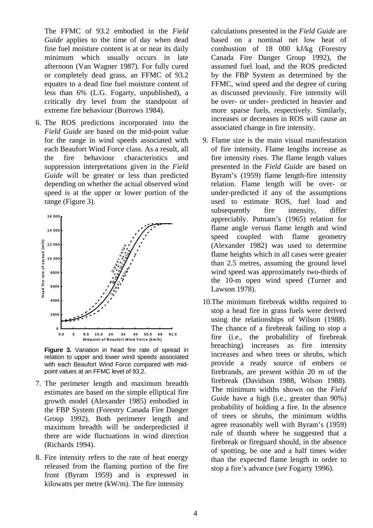The FFMC of 93.2 embodied in the *Field Guide* applies to the time of day when dead fine fuel moisture content is at or near its daily minimum which usually occurs in late afternoon (Van Wagner 1987). For fully cured or completely dead grass, an FFMC of 93.2 equates to a dead fine fuel moisture content of less than 6% (L.G. Fogarty, unpublished), a critically dry level from the standpoint of extreme fire behaviour (Burrows 1984).

6. The ROS predictions incorporated into the *Field Guide* are based on the mid-point value for the range in wind speeds associated with each Beaufort Wind Force class. As a result, all the fire behaviour characteristics and suppression interpretations given in the *Field Guide* will be greater or less than predicted depending on whether the actual observed wind speed is at the upper or lower portion of the range (Figure 3).



**Figure 3.** Variation in head fire rate of spread in relation to upper and lower wind speeds associated with each Beaufort Wind Force compared with midpoint values at an FFMC level of 93.2.

- 7. The perimeter length and maximum breadth estimates are based on the simple elliptical fire growth model (Alexander 1985) embodied in the FBP System (Forestry Canada Fire Danger Group 1992). Both perimeter length and maximum breadth will be underpredicted if there are wide fluctuations in wind direction (Richards 1994).
- 8. Fire intensity refers to the rate of heat energy released from the flaming portion of the fire front (Byram 1959) and is expressed in kilowatts per metre (kW/m). The fire intensity

calculations presented in the *Field Guide* are based on a nominal net low heat of combustion of 18 000 kJ/kg (Forestry Canada Fire Danger Group 1992), the assumed fuel load, and the ROS predicted by the FBP System as determined by the FFMC, wind speed and the degree of curing as discussed previously. Fire intensity will be over- or under- predicted in heavier and more sparse fuels, respectively. Similarly, increases or decreases in ROS will cause an associated change in fire intensity.

- 9. Flame size is the main visual manifestation of fire intensity. Flame lengths increase as fire intensity rises. The flame length values presented in the *Field Guide* are based on Byram's (1959) flame length-fire intensity relation. Flame length will be over- or under-predicted if any of the assumptions used to estimate ROS, fuel load and subsequently fire intensity, differ appreciably. Putnam's (1965) relation for flame angle versus flame length and wind speed coupled with flame geometry (Alexander 1982) was used to determine flame heights which in all cases were greater than 2.5 metres, assuming the ground level wind speed was approximately two-thirds of the 10-m open wind speed (Turner and Lawson 1978).
- 10.The minimum firebreak widths required to stop a head fire in grass fuels were derived using the relationships of Wilson (1988). The chance of a firebreak failing to stop a fire (i.e., the probability of firebreak breaching) increases as fire intensity increases and when trees or shrubs, which provide a ready source of embers or firebrands, are present within 20 m of the firebreak (Davidson 1988, Wilson 1988). The minimum widths shown on the *Field Guide* have a high (i.e., greater than 90%) probability of holding a fire. In the absence of trees or shrubs, the minimum widths agree reasonably well with Byram's (1959) rule of thumb where he suggested that a firebreak or fireguard should, in the absence of spotting, be one and a half times wider than the expected flame length in order to stop a fire's advance (*see* Fogarty 1996).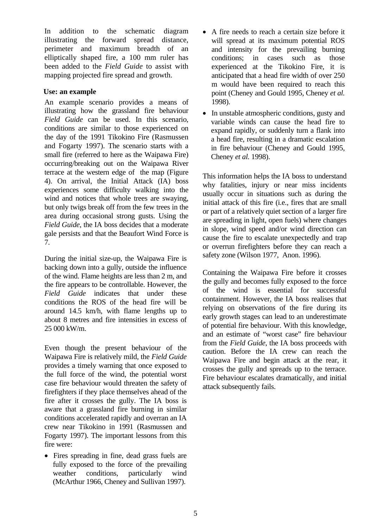In addition to the schematic diagram illustrating the forward spread distance, perimeter and maximum breadth of an elliptically shaped fire, a 100 mm ruler has been added to the *Field Guide* to assist with mapping projected fire spread and growth.

## **Use: an example**

An example scenario provides a means of illustrating how the grassland fire behaviour *Field Guide* can be used. In this scenario, conditions are similar to those experienced on the day of the 1991 Tikokino Fire (Rasmussen and Fogarty 1997). The scenario starts with a small fire (referred to here as the Waipawa Fire) occurring/breaking out on the Waipawa River terrace at the western edge of the map (Figure 4). On arrival, the Initial Attack (IA) boss experiences some difficulty walking into the wind and notices that whole trees are swaying, but only twigs break off from the few trees in the area during occasional strong gusts. Using the *Field Guide*, the IA boss decides that a moderate gale persists and that the Beaufort Wind Force is 7.

During the initial size-up, the Waipawa Fire is backing down into a gully, outside the influence of the wind. Flame heights are less than 2 m, and the fire appears to be controllable. However, the *Field Guide* indicates that under these conditions the ROS of the head fire will be around 14.5 km/h, with flame lengths up to about 8 metres and fire intensities in excess of 25 000 kW/m.

Even though the present behaviour of the Waipawa Fire is relatively mild, the *Field Guide* provides a timely warning that once exposed to the full force of the wind, the potential worst case fire behaviour would threaten the safety of firefighters if they place themselves ahead of the fire after it crosses the gully. The IA boss is aware that a grassland fire burning in similar conditions accelerated rapidly and overran an IA crew near Tikokino in 1991 (Rasmussen and Fogarty 1997). The important lessons from this fire were:

• Fires spreading in fine, dead grass fuels are fully exposed to the force of the prevailing weather conditions, particularly wind (McArthur 1966, Cheney and Sullivan 1997).

- A fire needs to reach a certain size before it will spread at its maximum potential ROS and intensity for the prevailing burning conditions; in cases such as those experienced at the Tikokino Fire, it is anticipated that a head fire width of over 250 m would have been required to reach this point (Cheney and Gould 1995, Cheney *et al.* 1998).
- In unstable atmospheric conditions, gusty and variable winds can cause the head fire to expand rapidly, or suddenly turn a flank into a head fire, resulting in a dramatic escalation in fire behaviour (Cheney and Gould 1995, Cheney *et al.* 1998).

This information helps the IA boss to understand why fatalities, injury or near miss incidents usually occur in situations such as during the initial attack of this fire (i.e., fires that are small or part of a relatively quiet section of a larger fire are spreading in light, open fuels) where changes in slope, wind speed and/or wind direction can cause the fire to escalate unexpectedly and trap or overrun firefighters before they can reach a safety zone (Wilson 1977, Anon. 1996).

Containing the Waipawa Fire before it crosses the gully and becomes fully exposed to the force of the wind is essential for successful containment. However, the IA boss realises that relying on observations of the fire during its early growth stages can lead to an underestimate of potential fire behaviour. With this knowledge, and an estimate of "worst case" fire behaviour from the *Field Guide*, the IA boss proceeds with caution. Before the IA crew can reach the Waipawa Fire and begin attack at the rear, it crosses the gully and spreads up to the terrace. Fire behaviour escalates dramatically, and initial attack subsequently fails.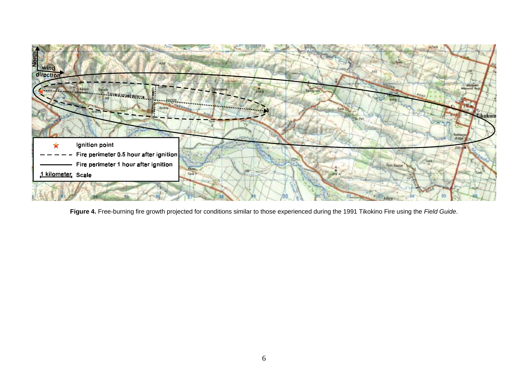

**Figure 4.** Free-burning fire growth projected for conditions similar to those experienced during the 1991 Tikokino Fire using the *Field Guide*.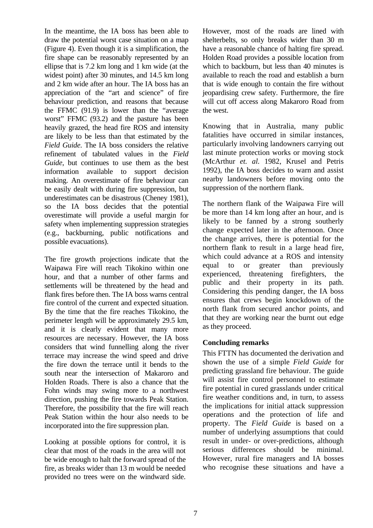In the meantime, the IA boss has been able to draw the potential worst case situation on a map (Figure 4). Even though it is a simplification, the fire shape can be reasonably represented by an ellipse that is 7.2 km long and 1 km wide (at the widest point) after 30 minutes, and 14.5 km long and 2 km wide after an hour. The IA boss has an appreciation of the "art and science" of fire behaviour prediction, and reasons that because the FFMC (91.9) is lower than the "average worst" FFMC (93.2) and the pasture has been heavily grazed, the head fire ROS and intensity are likely to be less than that estimated by the *Field Guide*. The IA boss considers the relative refinement of tabulated values in the *Field Guide*, but continues to use them as the best information available to support decision making. An overestimate of fire behaviour can be easily dealt with during fire suppression, but underestimates can be disastrous (Cheney 1981), so the IA boss decides that the potential overestimate will provide a useful margin for safety when implementing suppression strategies (e.g., backburning, public notifications and possible evacuations).

The fire growth projections indicate that the Waipawa Fire will reach Tikokino within one hour, and that a number of other farms and settlements will be threatened by the head and flank fires before then. The IA boss warns central fire control of the current and expected situation. By the time that the fire reaches Tikokino, the perimeter length will be approximately 29.5 km, and it is clearly evident that many more resources are necessary. However, the IA boss considers that wind funnelling along the river terrace may increase the wind speed and drive the fire down the terrace until it bends to the south near the intersection of Makaroro and Holden Roads. There is also a chance that the Fohn winds may swing more to a northwest direction, pushing the fire towards Peak Station. Therefore, the possibility that the fire will reach Peak Station within the hour also needs to be incorporated into the fire suppression plan.

Looking at possible options for control, it is clear that most of the roads in the area will not be wide enough to halt the forward spread of the fire, as breaks wider than 13 m would be needed provided no trees were on the windward side.

However, most of the roads are lined with shelterbelts, so only breaks wider than 30 m have a reasonable chance of halting fire spread. Holden Road provides a possible location from which to backburn, but less than 40 minutes is available to reach the road and establish a burn that is wide enough to contain the fire without jeopardising crew safety. Furthermore, the fire will cut off access along Makaroro Road from the west.

Knowing that in Australia, many public fatalities have occurred in similar instances, particularly involving landowners carrying out last minute protection works or moving stock (McArthur *et. al.* 1982, Krusel and Petris 1992), the IA boss decides to warn and assist nearby landowners before moving onto the suppression of the northern flank.

The northern flank of the Waipawa Fire will be more than 14 km long after an hour, and is likely to be fanned by a strong southerly change expected later in the afternoon. Once the change arrives, there is potential for the northern flank to result in a large head fire, which could advance at a ROS and intensity equal to or greater than previously experienced, threatening firefighters, the public and their property in its path. Considering this pending danger, the IA boss ensures that crews begin knockdown of the north flank from secured anchor points, and that they are working near the burnt out edge as they proceed.

### **Concluding remarks**

This FTTN has documented the derivation and shown the use of a simple *Field Guide* for predicting grassland fire behaviour. The guide will assist fire control personnel to estimate fire potential in cured grasslands under critical fire weather conditions and, in turn, to assess the implications for initial attack suppression operations and the protection of life and property. The *Field Guide* is based on a number of underlying assumptions that could result in under- or over-predictions, although serious differences should be minimal. However, rural fire managers and IA bosses who recognise these situations and have a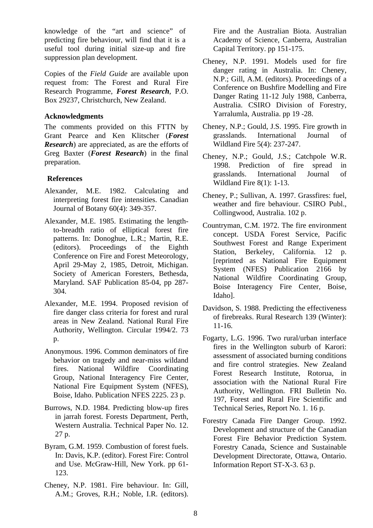knowledge of the "art and science" of predicting fire behaviour, will find that it is a useful tool during initial size-up and fire suppression plan development.

Copies of the *Field Guide* are available upon request from: The Forest and Rural Fire Research Programme, *Forest Research*, P.O. Box 29237, Christchurch, New Zealand.

#### **Acknowledgments**

The comments provided on this FTTN by Grant Pearce and Ken Klitscher (*Forest Research*) are appreciated, as are the efforts of Greg Baxter (*Forest Research*) in the final preparation.

### **References**

- Alexander, M.E. 1982. Calculating and interpreting forest fire intensities. Canadian Journal of Botany 60(4): 349-357.
- Alexander, M.E. 1985. Estimating the lengthto-breadth ratio of elliptical forest fire patterns. In: Donoghue, L.R.; Martin, R.E. (editors). Proceedings of the Eighth Conference on Fire and Forest Meteorology, April 29-May 2, 1985, Detroit, Michigan. Society of American Foresters, Bethesda, Maryland. SAF Publication 85-04, pp 287- 304.
- Alexander, M.E. 1994. Proposed revision of fire danger class criteria for forest and rural areas in New Zealand. National Rural Fire Authority, Wellington. Circular 1994/2. 73 p.
- Anonymous. 1996. Common deminators of fire behavior on tragedy and near-miss wildand fires. National Wildfire Coordinating Group, National Interagency Fire Center, National Fire Equipment System (NFES), Boise, Idaho. Publication NFES 2225. 23 p.
- Burrows, N.D. 1984. Predicting blow-up fires in jarrah forest. Forests Department, Perth, Western Australia. Technical Paper No. 12. 27 p.
- Byram, G.M. 1959. Combustion of forest fuels. In: Davis, K.P. (editor). Forest Fire: Control and Use. McGraw-Hill, New York. pp 61- 123.
- Cheney, N.P. 1981. Fire behaviour. In: Gill, A.M.; Groves, R.H.; Noble, I.R. (editors).

Fire and the Australian Biota. Australian Academy of Science, Canberra, Australian Capital Territory. pp 151-175.

- Cheney, N.P. 1991. Models used for fire danger rating in Australia. In: Cheney, N.P.; Gill, A.M. (editors). Proceedings of a Conference on Bushfire Modelling and Fire Danger Rating 11-12 July 1988, Canberra, Australia. CSIRO Division of Forestry, Yarralumla, Australia. pp 19 -28.
- Cheney, N.P.; Gould, J.S. 1995. Fire growth in grasslands. International Journal of Wildland Fire 5(4): 237-247.
- Cheney, N.P.; Gould, J.S.; Catchpole W.R. 1998. Prediction of fire spread in grasslands. International Journal of Wildland Fire 8(1): 1-13.
- Cheney, P.; Sullivan, A. 1997. Grassfires: fuel, weather and fire behaviour. CSIRO Publ., Collingwood, Australia. 102 p.
- Countryman, C.M. 1972. The fire environment concept. USDA Forest Service, Pacific Southwest Forest and Range Experiment Station, Berkeley, California. 12 p. [reprinted as National Fire Equipment System (NFES) Publication 2166 by National Wildfire Coordinating Group, Boise Interagency Fire Center, Boise, Idaho].
- Davidson, S. 1988. Predicting the effectiveness of firebreaks. Rural Research 139 (Winter): 11-16.
- Fogarty, L.G. 1996. Two rural/urban interface fires in the Wellington suburb of Karori: assessment of associated burning conditions and fire control strategies. New Zealand Forest Research Institute, Rotorua, in association with the National Rural Fire Authority, Wellington. FRI Bulletin No. 197, Forest and Rural Fire Scientific and Technical Series, Report No. 1. 16 p.
- Forestry Canada Fire Danger Group. 1992. Development and structure of the Canadian Forest Fire Behavior Prediction System. Forestry Canada, Science and Sustainable Development Directorate, Ottawa, Ontario. Information Report ST-X-3. 63 p.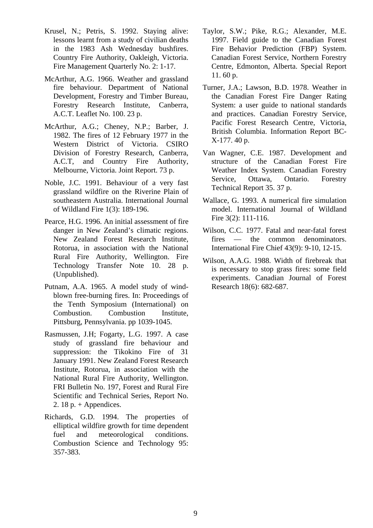- Krusel, N.; Petris, S. 1992. Staying alive: lessons learnt from a study of civilian deaths in the 1983 Ash Wednesday bushfires. Country Fire Authority, Oakleigh, Victoria. Fire Management Quarterly No. 2: 1-17.
- McArthur, A.G. 1966. Weather and grassland fire behaviour. Department of National Development, Forestry and Timber Bureau, Forestry Research Institute, Canberra, A.C.T. Leaflet No. 100. 23 p.
- McArthur, A.G.; Cheney, N.P.; Barber, J. 1982. The fires of 12 February 1977 in the Western District of Victoria. CSIRO Division of Forestry Research, Canberra, A.C.T, and Country Fire Authority, Melbourne, Victoria. Joint Report. 73 p.
- Noble, J.C. 1991. Behaviour of a very fast grassland wildfire on the Riverine Plain of southeastern Australia. International Journal of Wildland Fire 1(3): 189-196.
- Pearce, H.G. 1996. An initial assessment of fire danger in New Zealand's climatic regions. New Zealand Forest Research Institute, Rotorua, in association with the National Rural Fire Authority, Wellington. Fire Technology Transfer Note 10. 28 p. (Unpublished).
- Putnam, A.A. 1965. A model study of windblown free-burning fires. In: Proceedings of the Tenth Symposium (International) on Combustion. Combustion Institute, Pittsburg, Pennsylvania. pp 1039-1045.
- Rasmussen, J.H; Fogarty, L.G. 1997. A case study of grassland fire behaviour and suppression: the Tikokino Fire of 31 January 1991. New Zealand Forest Research Institute, Rotorua, in association with the National Rural Fire Authority, Wellington. FRI Bulletin No. 197, Forest and Rural Fire Scientific and Technical Series, Report No. 2. 18 p.  $+$  Appendices.
- Richards, G.D. 1994. The properties of elliptical wildfire growth for time dependent fuel and meteorological conditions. Combustion Science and Technology 95: 357-383.
- Taylor, S.W.; Pike, R.G.; Alexander, M.E. 1997. Field guide to the Canadian Forest Fire Behavior Prediction (FBP) System. Canadian Forest Service, Northern Forestry Centre, Edmonton, Alberta. Special Report 11. 60 p.
- Turner, J.A.; Lawson, B.D. 1978. Weather in the Canadian Forest Fire Danger Rating System: a user guide to national standards and practices. Canadian Forestry Service, Pacific Forest Research Centre, Victoria, British Columbia. Information Report BC-X-177. 40 p.
- Van Wagner, C.E. 1987. Development and structure of the Canadian Forest Fire Weather Index System. Canadian Forestry Service, Ottawa, Ontario. Forestry Technical Report 35. 37 p.
- Wallace, G. 1993. A numerical fire simulation model. International Journal of Wildland Fire 3(2): 111-116.
- Wilson, C.C. 1977. Fatal and near-fatal forest fires — the common denominators. International Fire Chief 43(9): 9-10, 12-15.
- Wilson, A.A.G. 1988. Width of firebreak that is necessary to stop grass fires: some field experiments. Canadian Journal of Forest Research 18(6): 682-687.